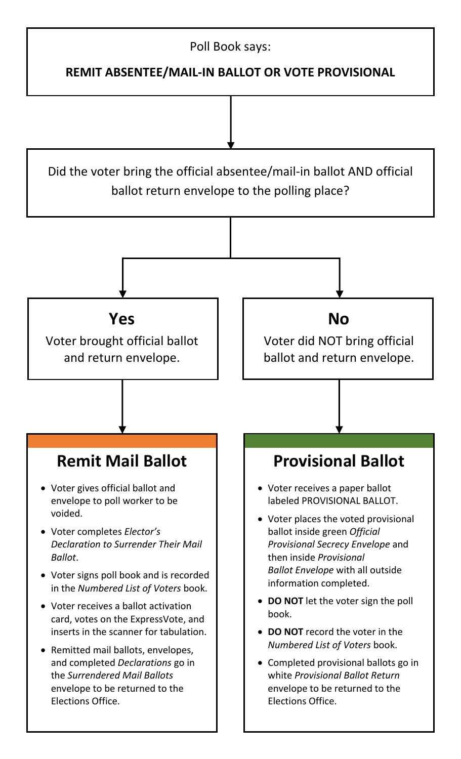